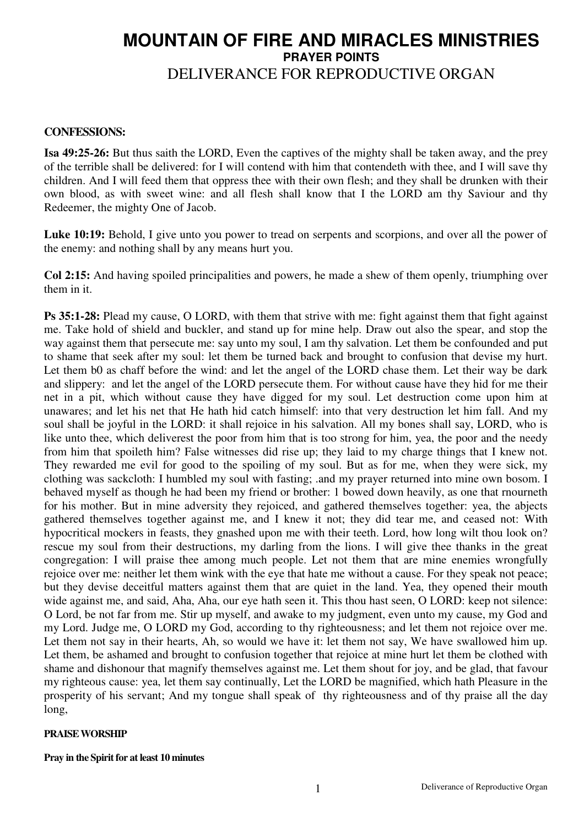## **MOUNTAIN OF FIRE AND MIRACLES MINISTRIES PRAYER POINTS** DELIVERANCE FOR REPRODUCTIVE ORGAN

## **CONFESSIONS:**

**Isa 49:25-26:** But thus saith the LORD, Even the captives of the mighty shall be taken away, and the prey of the terrible shall be delivered: for I will contend with him that contendeth with thee, and I will save thy children. And I will feed them that oppress thee with their own flesh; and they shall be drunken with their own blood, as with sweet wine: and all flesh shall know that I the LORD am thy Saviour and thy Redeemer, the mighty One of Jacob.

**Luke 10:19:** Behold, I give unto you power to tread on serpents and scorpions, and over all the power of the enemy: and nothing shall by any means hurt you.

**Col 2:15:** And having spoiled principalities and powers, he made a shew of them openly, triumphing over them in it.

**Ps 35:1-28:** Plead my cause, O LORD, with them that strive with me: fight against them that fight against me. Take hold of shield and buckler, and stand up for mine help. Draw out also the spear, and stop the way against them that persecute me: say unto my soul, I am thy salvation. Let them be confounded and put to shame that seek after my soul: let them be turned back and brought to confusion that devise my hurt. Let them b0 as chaff before the wind: and let the angel of the LORD chase them. Let their way be dark and slippery: and let the angel of the LORD persecute them. For without cause have they hid for me their net in a pit, which without cause they have digged for my soul. Let destruction come upon him at unawares; and let his net that He hath hid catch himself: into that very destruction let him fall. And my soul shall be joyful in the LORD: it shall rejoice in his salvation. All my bones shall say, LORD, who is like unto thee, which deliverest the poor from him that is too strong for him, yea, the poor and the needy from him that spoileth him? False witnesses did rise up; they laid to my charge things that I knew not. They rewarded me evil for good to the spoiling of my soul. But as for me, when they were sick, my clothing was sackcloth: I humbled my soul with fasting; .and my prayer returned into mine own bosom. I behaved myself as though he had been my friend or brother: 1 bowed down heavily, as one that rnourneth for his mother. But in mine adversity they rejoiced, and gathered themselves together: yea, the abjects gathered themselves together against me, and I knew it not; they did tear me, and ceased not: With hypocritical mockers in feasts, they gnashed upon me with their teeth. Lord, how long wilt thou look on? rescue my soul from their destructions, my darling from the lions. I will give thee thanks in the great congregation: I will praise thee among much people. Let not them that are mine enemies wrongfully rejoice over me: neither let them wink with the eye that hate me without a cause. For they speak not peace; but they devise deceitful matters against them that are quiet in the land. Yea, they opened their mouth wide against me, and said, Aha, Aha, our eye hath seen it. This thou hast seen, O LORD: keep not silence: O Lord, be not far from me. Stir up myself, and awake to my judgment, even unto my cause, my God and my Lord. Judge me, O LORD my God, according to thy righteousness; and let them not rejoice over me. Let them not say in their hearts, Ah, so would we have it: let them not say, We have swallowed him up. Let them, be ashamed and brought to confusion together that rejoice at mine hurt let them be clothed with shame and dishonour that magnify themselves against me. Let them shout for joy, and be glad, that favour my righteous cause: yea, let them say continually, Let the LORD be magnified, which hath Pleasure in the prosperity of his servant; And my tongue shall speak of thy righteousness and of thy praise all the day long,

## **PRAISE WORSHIP**

**Pray in the Spirit for at least 10 minutes**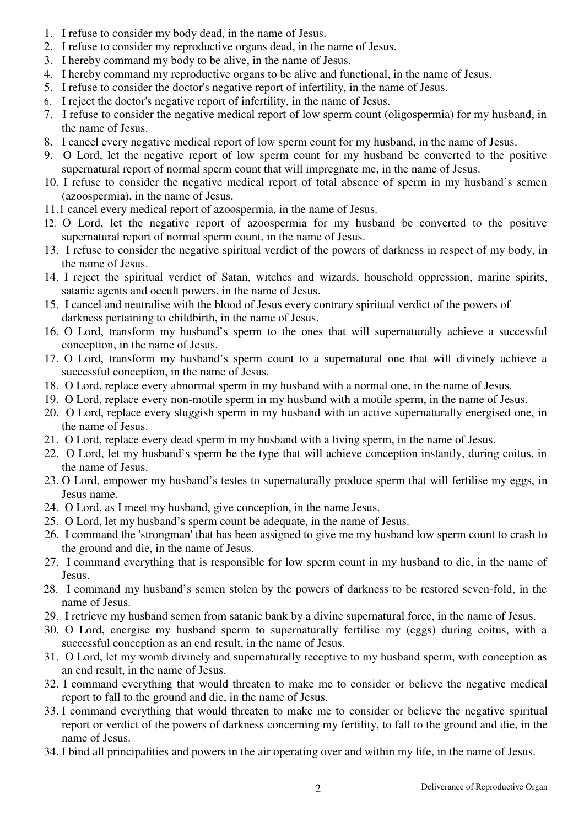- 1. I refuse to consider my body dead, in the name of Jesus.
- 2. I refuse to consider my reproductive organs dead, in the name of Jesus.
- 3. I hereby command my body to be alive, in the name of Jesus.
- 4. I hereby command my reproductive organs to be alive and functional, in the name of Jesus.
- 5. I refuse to consider the doctor's negative report of infertility, in the name of Jesus.
- 6. I reject the doctor's negative report of infertility, in the name of Jesus.
- 7. I refuse to consider the negative medical report of low sperm count (oligospermia) for my husband, in the name of Jesus.
- 8. I cancel every negative medical report of low sperm count for my husband, in the name of Jesus.
- 9. O Lord, let the negative report of low sperm count for my husband be converted to the positive supernatural report of normal sperm count that will impregnate me, in the name of Jesus.
- 10. I refuse to consider the negative medical report of total absence of sperm in my husband's semen (azoospermia), in the name of Jesus.
- 11.1 cancel every medical report of azoospermia, in the name of Jesus.
- 12. O Lord, let the negative report of azoospermia for my husband be converted to the positive supernatural report of normal sperm count, in the name of Jesus.
- 13. I refuse to consider the negative spiritual verdict of the powers of darkness in respect of my body, in the name of Jesus.
- 14. I reject the spiritual verdict of Satan, witches and wizards, household oppression, marine spirits, satanic agents and occult powers, in the name of Jesus.
- 15. I cancel and neutralise with the blood of Jesus every contrary spiritual verdict of the powers of darkness pertaining to childbirth, in the name of Jesus.
- 16. O Lord, transform my husband's sperm to the ones that will supernaturally achieve a successful conception, in the name of Jesus.
- 17. O Lord, transform my husband's sperm count to a supernatural one that will divinely achieve a successful conception, in the name of Jesus.
- 18. O Lord, replace every abnormal sperm in my husband with a normal one, in the name of Jesus.
- 19. O Lord, replace every non-motile sperm in my husband with a motile sperm, in the name of Jesus.
- 20. O Lord, replace every sluggish sperm in my husband with an active supernaturally energised one, in the name of Jesus.
- 21. O Lord, replace every dead sperm in my husband with a living sperm, in the name of Jesus.
- 22. O Lord, let my husband's sperm be the type that will achieve conception instantly, during coitus, in the name of Jesus.
- 23. O Lord, empower my husband's testes to supernaturally produce sperm that will fertilise my eggs, in Jesus name.
- 24. O Lord, as I meet my husband, give conception, in the name Jesus.
- 25. O Lord, let my husband's sperm count be adequate, in the name of Jesus.
- 26. I command the 'strongman' that has been assigned to give me my husband low sperm count to crash to the ground and die, in the name of Jesus.
- 27. I command everything that is responsible for low sperm count in my husband to die, in the name of Jesus.
- 28. I command my husband's semen stolen by the powers of darkness to be restored seven-fold, in the name of Jesus.
- 29. I retrieve my husband semen from satanic bank by a divine supernatural force, in the name of Jesus.
- 30. O Lord, energise my husband sperm to supernaturally fertilise my (eggs) during coitus, with a successful conception as an end result, in the name of Jesus.
- 31. O Lord, let my womb divinely and supernaturally receptive to my husband sperm, with conception as an end result, in the name of Jesus.
- 32. I command everything that would threaten to make me to consider or believe the negative medical report to fall to the ground and die, in the name of Jesus.
- 33. I command everything that would threaten to make me to consider or believe the negative spiritual report or verdict of the powers of darkness concerning my fertility, to fall to the ground and die, in the name of Jesus.
- 34. I bind all principalities and powers in the air operating over and within my life, in the name of Jesus.